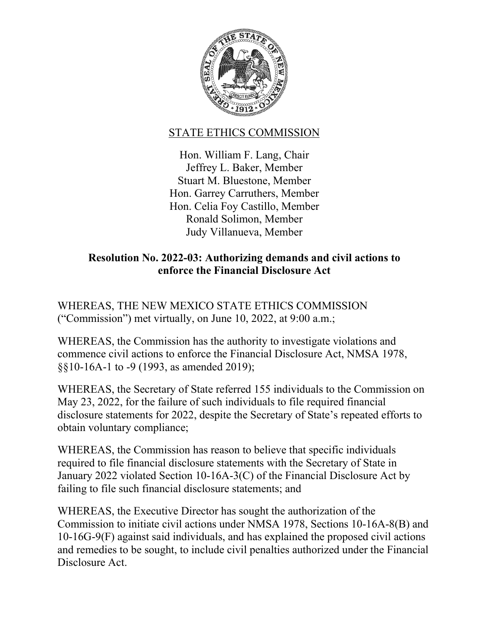

## STATE ETHICS COMMISSION

Hon. William F. Lang, Chair Jeffrey L. Baker, Member Stuart M. Bluestone, Member Hon. Garrey Carruthers, Member Hon. Celia Foy Castillo, Member Ronald Solimon, Member Judy Villanueva, Member

## **Resolution No. 2022-03: Authorizing demands and civil actions to enforce the Financial Disclosure Act**

WHEREAS, THE NEW MEXICO STATE ETHICS COMMISSION ("Commission") met virtually, on June 10, 2022, at 9:00 a.m.;

WHEREAS, the Commission has the authority to investigate violations and commence civil actions to enforce the Financial Disclosure Act, NMSA 1978, §§10-16A-1 to -9 (1993, as amended 2019);

WHEREAS, the Secretary of State referred 155 individuals to the Commission on May 23, 2022, for the failure of such individuals to file required financial disclosure statements for 2022, despite the Secretary of State's repeated efforts to obtain voluntary compliance;

WHEREAS, the Commission has reason to believe that specific individuals required to file financial disclosure statements with the Secretary of State in January 2022 violated Section 10-16A-3(C) of the Financial Disclosure Act by failing to file such financial disclosure statements; and

WHEREAS, the Executive Director has sought the authorization of the Commission to initiate civil actions under NMSA 1978, Sections 10-16A-8(B) and 10-16G-9(F) against said individuals, and has explained the proposed civil actions and remedies to be sought, to include civil penalties authorized under the Financial Disclosure Act.